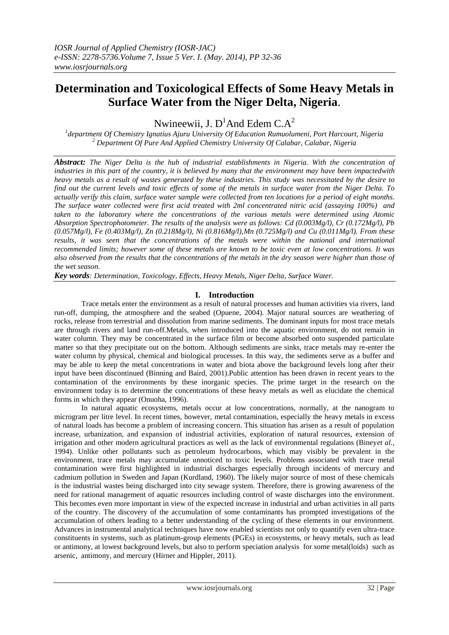# **Determination and Toxicological Effects of Some Heavy Metals in Surface Water from the Niger Delta, Nigeria**.

Nwineewii, J.  $D^1$ And Edem C.A<sup>2</sup>

*1 department Of Chemistry Ignatius Ajuru University Of Education Rumuolumeni, Port Harcourt, Nigeria <sup>2</sup> Department Of Pure And Applied Chemistry University Of Calabar, Calabar, Nigeria* 

*Abstract: The Niger Delta is the hub of industrial establishments in Nigeria. With the concentration of industries in this part of the country, it is believed by many that the environment may have been impactedwith heavy metals as a result of wastes generated by these industries. This study was necessitated by the desire to find out the current levels and toxic effects of some of the metals in surface water from the Niger Delta. To actually verify this claim, surface water sample were collected from ten locations for a period of eight months. The surface water collected were first acid treated with 2ml concentrated nitric acid (assaying 100%) and taken to the laboratory where the concentrations of the various metals were determined using Atomic Absorption Spectrophotometer. The results of the analysis were as follows: Cd (0.003Mg/l), Cr (0.172Mg/l), Pb (0.057Mg/l), Fe (0.403Mg/l), Zn (0.218Mg/l), Ni (0.816Mg/l),Mn (0.725Mg/l) and Cu (0.011Mg/l). From these results, it was seen that the concentrations of the metals were within the national and international recommended limits; however some of these metals are known to be toxic even at low concentrations. It was also observed from the results that the concentrations of the metals in the dry season were higher than those of the wet season.*

*Key words: Determination, Toxicology, Effects, Heavy Metals, Niger Delta, Surface Water.*

# **I. Introduction**

Trace metals enter the environment as a result of natural processes and human activities via rivers, land run-off, dumping, the atmosphere and the seabed (Opuene, 2004). Major natural sources are weathering of rocks, release from terrestrial and dissolution from marine sediments. The dominant inputs for most trace metals are through rivers and land run-off.Metals, when introduced into the aquatic environment, do not remain in water column. They may be concentrated in the surface film or become absorbed onto suspended particulate matter so that they precipitate out on the bottom. Although sediments are sinks, trace metals may re-enter the water column by physical, chemical and biological processes. In this way, the sediments serve as a buffer and may be able to keep the metal concentrations in water and biota above the background levels long after their input have been discontinued (Binning and Baird, 2001).Public attention has been drawn in recent years to the contamination of the environments by these inorganic species. The prime target in the research on the environment today is to determine the concentrations of these heavy metals as well as elucidate the chemical forms in which they appear (Onuoha, 1996).

In natural aquatic ecosystems, metals occur at low concentrations, normally, at the nanogram to microgram per litre level. In recent times, however, metal contamination, especially the heavy metals in excess of natural loads has become a problem of increasing concern. This situation has arisen as a result of population increase, urbanization, and expansion of industrial activities, exploration of natural resources, extension of irrigation and other modern agricultural practices as well as the lack of environmental regulations (Biney*et al.,* 1994). Unlike other pollutants such as petroleum hydrocarbons, which may visibly be prevalent in the environment, trace metals may accumulate unnoticed to toxic levels. Problems associated with trace metal contamination were first highlighted in industrial discharges especially through incidents of mercury and cadmium pollution in Sweden and Japan (Kurdland, 1960). The likely major source of most of these chemicals is the industrial wastes being discharged into city sewage system. Therefore, there is growing awareness of the need for rational management of aquatic resources including control of waste discharges into the environment. This becomes even more important in view of the expected increase in industrial and urban activities in all parts of the country. The discovery of the accumulation of some contaminants has prompted investigations of the accumulation of others leading to a better understanding of the cycling of these elements in our environment. Advances in instrumental analytical techniques have now enabled scientists not only to quantify even ultra-trace constituents in systems, such as platinum-group elements (PGEs) in ecosystems, or heavy metals, such as lead or antimony, at lowest background levels, but also to perform speciation analysis for some metal(loids) such as arsenic, antimony, and mercury (Hirner and Hippler, 2011).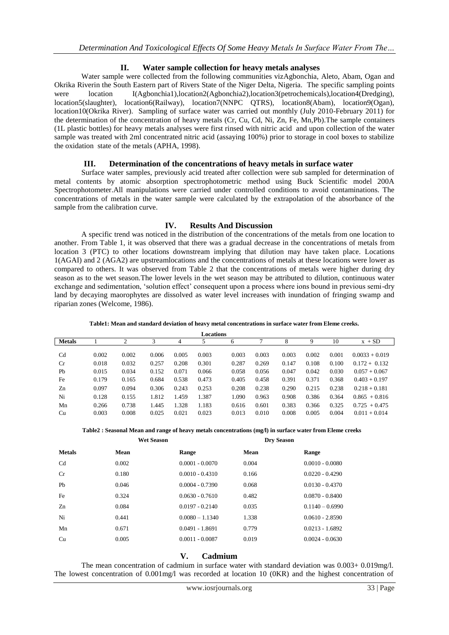# **II. Water sample collection for heavy metals analyses**

Water sample were collected from the following communities vizAgbonchia, Aleto, Abam, Ogan and Okrika Riverin the South Eastern part of Rivers State of the Niger Delta, Nigeria. The specific sampling points were location I(Agbonchia1),location2(Agbonchia2),location3(petrochemicals),location4(Dredging), location5(slaughter), location6(Railway), location7(NNPC QTRS), location8(Abam), location9(Ogan), location10(Okrika River). Sampling of surface water was carried out monthly (July 2010-February 2011) for the determination of the concentration of heavy metals (Cr, Cu, Cd, Ni, Zn, Fe, Mn,Pb).The sample containers (1L plastic bottles) for heavy metals analyses were first rinsed with nitric acid and upon collection of the water sample was treated with 2ml concentrated nitric acid (assaying 100%) prior to storage in cool boxes to stabilize the oxidation state of the metals (APHA, 1998).

# **III. Determination of the concentrations of heavy metals in surface water**

Surface water samples, previously acid treated after collection were sub sampled for determination of metal contents by atomic absorption spectrophotometric method using Buck Scientific model 200A Spectrophotometer.All manipulations were carried under controlled conditions to avoid contaminations. The concentrations of metals in the water sample were calculated by the extrapolation of the absorbance of the sample from the calibration curve.

### **IV. Results And Discussion**

A specific trend was noticed in the distribution of the concentrations of the metals from one location to another. From Table 1, it was observed that there was a gradual decrease in the concentrations of metals from location 3 (PTC) to other locations downstream implying that dilution may have taken place. Locations 1(AGAI) and 2 (AGA2) are upstreamlocations and the concentrations of metals at these locations were lower as compared to others. It was observed from Table 2 that the concentrations of metals were higher during dry season as to the wet season.The lower levels in the wet season may be attributed to dilution, continuous water exchange and sedimentation, "solution effect" consequent upon a process where ions bound in previous semi-dry land by decaying maorophytes are dissolved as water level increases with inundation of fringing swamp and riparian zones (Welcome, 1986).

| Locations      |       |       |       |       |       |       |       |       |       |       |                  |
|----------------|-------|-------|-------|-------|-------|-------|-------|-------|-------|-------|------------------|
| <b>Metals</b>  |       | ↑     | 3     | 4     | 5     | 6     | ┑     | 8     |       | 10    | $x + SD$         |
|                |       |       |       |       |       |       |       |       |       |       |                  |
| C <sub>d</sub> | 0.002 | 0.002 | 0.006 | 0.005 | 0.003 | 0.003 | 0.003 | 0.003 | 0.002 | 0.001 | $0.0033 + 0.019$ |
| Cr             | 0.018 | 0.032 | 0.257 | 0.208 | 0.301 | 0.287 | 0.269 | 0.147 | 0.108 | 0.100 | $0.172 + 0.132$  |
| Pb             | 0.015 | 0.034 | 0.152 | 0.071 | 0.066 | 0.058 | 0.056 | 0.047 | 0.042 | 0.030 | $0.057 + 0.067$  |
| Fe             | 0.179 | 0.165 | 0.684 | 0.538 | 0.473 | 0.405 | 0.458 | 0.391 | 0.371 | 0.368 | $0.403 + 0.197$  |
| Zn             | 0.097 | 0.094 | 0.306 | 0.243 | 0.253 | 0.208 | 0.238 | 0.290 | 0.215 | 0.238 | $0.218 + 0.181$  |
| Ni             | 0.128 | 0.155 | 1.812 | .459  | 1.387 | 1.090 | 0.963 | 0.908 | 0.386 | 0.364 | $0.865 + 0.816$  |
| Mn             | 0.266 | 0.738 | 1.445 | 1.328 | 1.183 | 0.616 | 0.601 | 0.383 | 0.366 | 0.325 | $0.725 + 0.475$  |
| Cu             | 0.003 | 0.008 | 0.025 | 0.021 | 0.023 | 0.013 | 0.010 | 0.008 | 0.005 | 0.004 | $0.011 + 0.014$  |

**Table1: Mean and standard deviation of heavy metal concentrations in surface water from Eleme creeks.**

**Table2 : Seasonal Mean and range of heavy metals concentrations (mg/l) in surface water from Eleme creeks**

|                | <b>Wet Season</b> |                   | <b>Dry Season</b> |                   |
|----------------|-------------------|-------------------|-------------------|-------------------|
| <b>Metals</b>  | Mean              | Range             | Mean              | Range             |
| C <sub>d</sub> | 0.002             | $0.0001 - 0.0070$ | 0.004             | $0.0010 - 0.0080$ |
| Cr             | 0.180             | $0.0010 - 0.4310$ | 0.166             | $0.0220 - 0.4290$ |
| Pb             | 0.046             | $0.0004 - 0.7390$ | 0.068             | $0.0130 - 0.4370$ |
| Fe             | 0.324             | $0.0630 - 0.7610$ | 0.482             | $0.0870 - 0.8400$ |
| Zn             | 0.084             | $0.0197 - 0.2140$ | 0.035             | $0.1140 - 0.6990$ |
| Ni             | 0.441             | $0.0080 - 1.1340$ | 1.338             | $0.0610 - 2.8590$ |
| Mn             | 0.671             | $0.0491 - 1.8691$ | 0.779             | $0.0213 - 1.6892$ |
| Cu             | 0.005             | $0.0011 - 0.0087$ | 0.019             | $0.0024 - 0.0630$ |

# **V. Cadmium**

The mean concentration of cadmium in surface water with standard deviation was 0.003+ 0.019mg/l. The lowest concentration of 0.001mg/l was recorded at location 10 (0KR) and the highest concentration of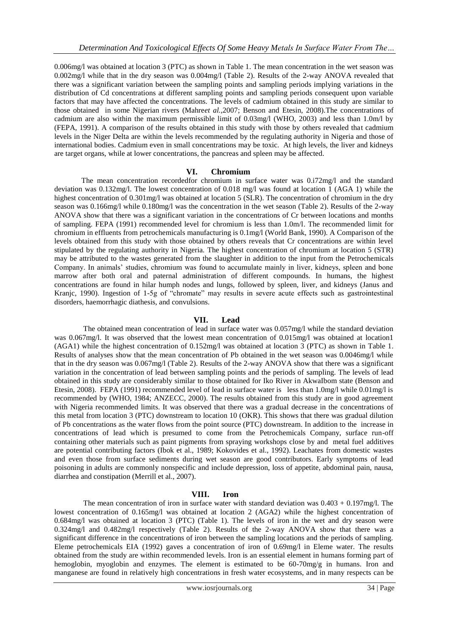0.006mg/l was obtained at location 3 (PTC) as shown in Table 1. The mean concentration in the wet season was 0.002mg/l while that in the dry season was 0.004mg/l (Table 2). Results of the 2-way ANOVA revealed that there was a significant variation between the sampling points and sampling periods implying variations in the distribution of Cd concentrations at different sampling points and sampling periods consequent upon variable factors that may have affected the concentrations. The levels of cadmium obtained in this study are similar to those obtained in some Nigerian rivers (Mahre*et al.,*2007; Benson and Etesin, 2008).The concentrations of cadmium are also within the maximum permissible limit of 0.03mg/l (WHO, 2003) and less than 1.0m/l by (FEPA, 1991). A comparison of the results obtained in this study with those by others revealed that cadmium levels in the Niger Delta are within the levels recommended by the regulating authority in Nigeria and those of international bodies. Cadmium even in small concentrations may be toxic. At high levels, the liver and kidneys are target organs, while at lower concentrations, the pancreas and spleen may be affected.

#### **VI. Chromium**

The mean concentration recordedfor chromium in surface water was 0.i72mg/l and the standard deviation was 0.132mg/l. The lowest concentration of 0.018 mg/l was found at location 1 (AGA 1) while the highest concentration of 0.301mg/l was obtained at location 5 (SLR). The concentration of chromium in the dry season was 0.166mg/l while 0.180mg/l was the concentration in the wet season (Table 2). Results of the 2-way ANOVA show that there was a significant variation in the concentrations of Cr between locations and months of sampling. FEPA (1991) recommended level for chromium is less than 1.0m/l. The recommended limit for chromium in effluents from petrochemicals manufacturing is 0.1mg/l (World Bank, 1990). A Comparison of the levels obtained from this study with those obtained by others reveals that Cr concentrations are within level stipulated by the regulating authority in Nigeria. The highest concentration of chromium at location 5 (STR) may be attributed to the wastes generated from the slaughter in addition to the input from the Petrochemicals Company. In animals" studies, chromium was found to accumulate mainly in liver, kidneys, spleen and bone marrow after both oral and paternal administration of different compounds. In humans, the highest concentrations are found in hilar humph nodes and lungs, followed by spleen, liver, and kidneys (Janus and Kranjc, 1990). Ingestion of 1-5g of "chromate" may results in severe acute effects such as gastrointestinal disorders, haemorrhagic diathesis, and convulsions.

## **VII. Lead**

The obtained mean concentration of lead in surface water was 0.057mg/l while the standard deviation was 0.067mg/l. It was observed that the lowest mean concentration of 0.015mg/l was obtained at location1 (AGA1) while the highest concentration of 0.152mg/l was obtained at location 3 (PTC) as shown in Table 1. Results of analyses show that the mean concentration of Pb obtained in the wet season was 0.0046mg/l while that in the dry season was 0.067mg/l (Table 2). Results of the 2-way ANOVA show that there was a significant variation in the concentration of lead between sampling points and the periods of sampling. The levels of lead obtained in this study are considerably similar to those obtained for Iko River in AkwaIbom state (Benson and Etesin, 2008). FEPA (1991) recommended level of lead in surface water is less than 1.0mg/l while 0.01mg/l is recommended by (WHO, 1984; ANZECC, 2000). The results obtained from this study are in good agreement with Nigeria recommended limits. It was observed that there was a gradual decrease in the concentrations of this metal from location 3 (PTC) downstream to location 10 (OKR). This shows that there was gradual dilution of Pb concentrations as the water flows from the point source (PTC) downstream. In addition to the increase in concentrations of lead which is presumed to come from the Petrochemicals Company, surface run-off containing other materials such as paint pigments from spraying workshops close by and metal fuel additives are potential contributing factors (Ibok et al., 1989; Kokovides et al., 1992). Leachates from domestic wastes and even those from surface sediments during wet season are good contributors. Early symptoms of lead poisoning in adults are commonly nonspecific and include depression, loss of appetite, abdominal pain, nausa, diarrhea and constipation (Merrill et al., 2007).

#### **VIII. Iron**

The mean concentration of iron in surface water with standard deviation was  $0.403 + 0.197 \text{mg/l}$ . The lowest concentration of 0.165mg/l was obtained at location 2 (AGA2) while the highest concentration of 0.684mg/l was obtained at location 3 (PTC) (Table 1). The levels of iron in the wet and dry season were 0.324mg/l and 0.482mg/l respectively (Table 2). Results of the 2-way ANOVA show that there was a significant difference in the concentrations of iron between the sampling locations and the periods of sampling. Eleme petrochemicals EIA (1992) gaves a concentration of iron of 0.69mg/l in Eleme water. The results obtained from the study are within recommended levels. Iron is an essential element in humans forming part of hemoglobin, myoglobin and enzymes. The element is estimated to be  $60-70$  mg/g in humans. Iron and manganese are found in relatively high concentrations in fresh water ecosystems, and in many respects can be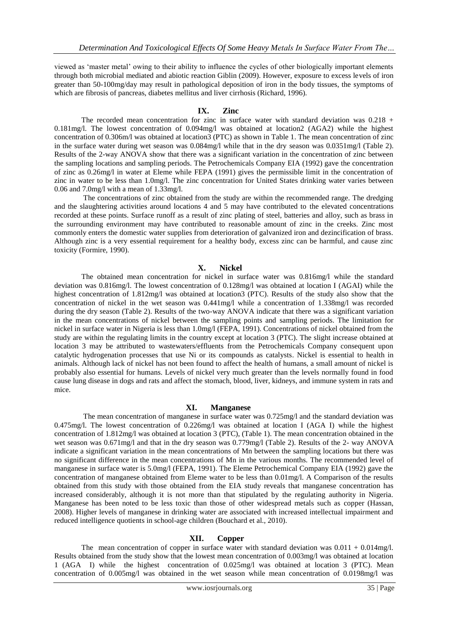viewed as "master metal" owing to their ability to influence the cycles of other biologically important elements through both microbial mediated and abiotic reaction Giblin (2009). However, exposure to excess levels of iron greater than 50-100mg/day may result in pathological deposition of iron in the body tissues, the symptoms of which are fibrosis of pancreas, diabetes mellitus and liver cirrhosis (Richard, 1996).

# **IX. Zinc**

The recorded mean concentration for zinc in surface water with standard deviation was 0.218 + 0.181mg/l. The lowest concentration of 0.094mg/l was obtained at location2 (AGA2) while the highest concentration of 0.306m/l was obtained at location3 (PTC) as shown in Table 1. The mean concentration of zinc in the surface water during wet season was 0.084mg/l while that in the dry season was 0.0351mg/l (Table 2). Results of the 2-way ANOVA show that there was a significant variation in the concentration of zinc between the sampling locations and sampling periods. The Petrochemicals Company EIA (1992) gave the concentration of zinc as 0.26mg/l in water at Eleme while FEPA (1991) gives the permissible limit in the concentration of zinc in water to be less than 1.0mg/l. The zinc concentration for United States drinking water varies between 0.06 and 7.0mg/l with a mean of 1.33mg/l.

The concentrations of zinc obtained from the study are within the recommended range. The dredging and the slaughtering activities around locations 4 and 5 may have contributed to the elevated concentrations recorded at these points. Surface runoff as a result of zinc plating of steel, batteries and alloy, such as brass in the surrounding environment may have contributed to reasonable amount of zinc in the creeks. Zinc most commonly enters the domestic water supplies from deterioration of galvanized iron and dezincification of brass. Although zinc is a very essential requirement for a healthy body, excess zinc can be harmful, and cause zinc toxicity (Formire, 1990).

#### **X. Nickel**

The obtained mean concentration for nickel in surface water was 0.816mg/l while the standard deviation was 0.816mg/l. The lowest concentration of 0.128mg/l was obtained at location I (AGAI) while the highest concentration of 1.812mg/l was obtained at location3 (PTC). Results of the study also show that the concentration of nickel in the wet season was 0.441mg/l while a concentration of 1.338mg/l was recorded during the dry season (Table 2). Results of the two-way ANOVA indicate that there was a significant variation in the mean concentrations of nickel between the sampling points and sampling periods. The limitation for nickel in surface water in Nigeria is less than 1.0mg/l (FEPA, 1991). Concentrations of nickel obtained from the study are within the regulating limits in the country except at location 3 (PTC). The slight increase obtained at location 3 may be attributed to wastewaters/effluents from the Petrochemicals Company consequent upon catalytic hydrogenation processes that use Ni or its compounds as catalysts. Nickel is essential to health in animals. Although lack of nickel has not been found to affect the health of humans, a small amount of nickel is probably also essential for humans. Levels of nickel very much greater than the levels normally found in food cause lung disease in dogs and rats and affect the stomach, blood, liver, kidneys, and immune system in rats and mice.

#### **XI. Manganese**

The mean concentration of manganese in surface water was 0.725mg/l and the standard deviation was 0.475mg/l. The lowest concentration of 0.226mg/l was obtained at location I (AGA I) while the highest concentration of 1.812mg/l was obtained at location 3 (PTC), (Table 1). The mean concentration obtained in the wet season was 0.671mg/l and that in the dry season was 0.779mg/l (Table 2). Results of the 2- way ANOVA indicate a significant variation in the mean concentrations of Mn between the sampling locations but there was no significant difference in the mean concentrations of Mn in the various months. The recommended level of manganese in surface water is 5.0mg/l (FEPA, 1991). The Eleme Petrochemical Company EIA (1992) gave the concentration of manganese obtained from Eleme water to be less than 0.01mg/l. A Comparison of the results obtained from this study with those obtained from the EIA study reveals that manganese concentration has increased considerably, although it is not more than that stipulated by the regulating authority in Nigeria. Manganese has been noted to be less toxic than those of other widespread metals such as copper (Hassan, 2008). Higher levels of manganese in drinking water are associated with increased intellectual impairment and reduced intelligence quotients in school-age children (Bouchard et al., 2010).

# **XII. Copper**

The mean concentration of copper in surface water with standard deviation was  $0.011 + 0.014$ mg/l. Results obtained from the study show that the lowest mean concentration of 0.003mg/l was obtained at location 1 (AGA I) while the highest concentration of 0.025mg/l was obtained at location 3 (PTC). Mean concentration of 0.005mg/l was obtained in the wet season while mean concentration of 0.0198mg/l was